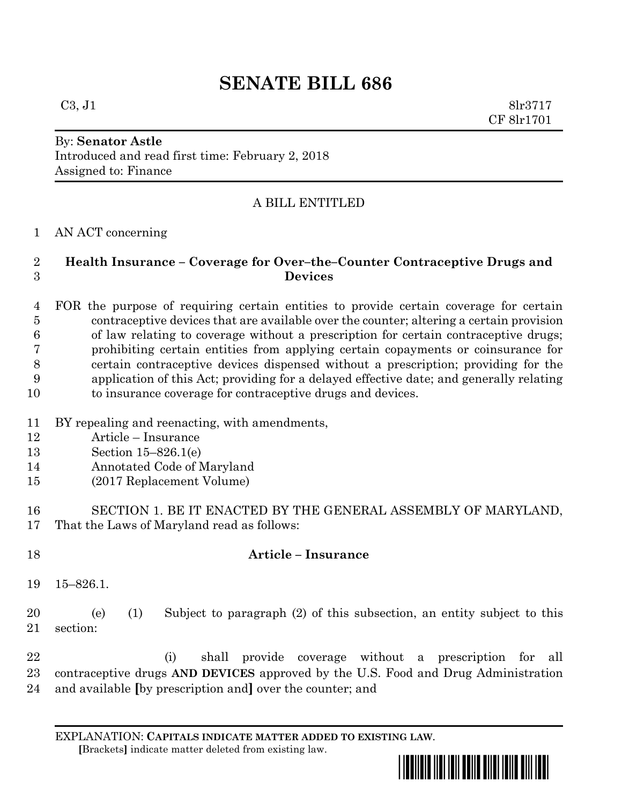# **SENATE BILL 686**

 $C3, J1$  8lr3717 CF 8lr1701

#### By: **Senator Astle** Introduced and read first time: February 2, 2018 Assigned to: Finance

## A BILL ENTITLED

### AN ACT concerning

### **Health Insurance – Coverage for Over–the–Counter Contraceptive Drugs and Devices**

 FOR the purpose of requiring certain entities to provide certain coverage for certain contraceptive devices that are available over the counter; altering a certain provision of law relating to coverage without a prescription for certain contraceptive drugs; prohibiting certain entities from applying certain copayments or coinsurance for certain contraceptive devices dispensed without a prescription; providing for the application of this Act; providing for a delayed effective date; and generally relating to insurance coverage for contraceptive drugs and devices.

- BY repealing and reenacting, with amendments,
- Article Insurance
- Section 15–826.1(e)
- Annotated Code of Maryland
- (2017 Replacement Volume)
- SECTION 1. BE IT ENACTED BY THE GENERAL ASSEMBLY OF MARYLAND, That the Laws of Maryland read as follows:
- **Article – Insurance**
- 15–826.1.

 (e) (1) Subject to paragraph (2) of this subsection, an entity subject to this section:

 (i) shall provide coverage without a prescription for all contraceptive drugs **AND DEVICES** approved by the U.S. Food and Drug Administration and available **[**by prescription and**]** over the counter; and

EXPLANATION: **CAPITALS INDICATE MATTER ADDED TO EXISTING LAW**.  **[**Brackets**]** indicate matter deleted from existing law.